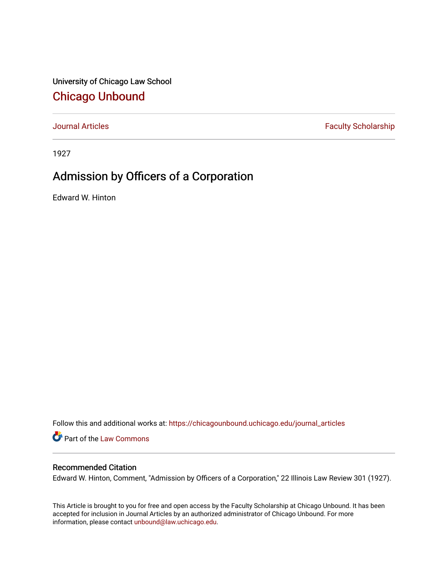University of Chicago Law School [Chicago Unbound](https://chicagounbound.uchicago.edu/)

[Journal Articles](https://chicagounbound.uchicago.edu/journal_articles) **Faculty Scholarship Faculty Scholarship** 

1927

## Admission by Officers of a Corporation

Edward W. Hinton

Follow this and additional works at: [https://chicagounbound.uchicago.edu/journal\\_articles](https://chicagounbound.uchicago.edu/journal_articles?utm_source=chicagounbound.uchicago.edu%2Fjournal_articles%2F8831&utm_medium=PDF&utm_campaign=PDFCoverPages) 

Part of the [Law Commons](http://network.bepress.com/hgg/discipline/578?utm_source=chicagounbound.uchicago.edu%2Fjournal_articles%2F8831&utm_medium=PDF&utm_campaign=PDFCoverPages)

## Recommended Citation

Edward W. Hinton, Comment, "Admission by Officers of a Corporation," 22 Illinois Law Review 301 (1927).

This Article is brought to you for free and open access by the Faculty Scholarship at Chicago Unbound. It has been accepted for inclusion in Journal Articles by an authorized administrator of Chicago Unbound. For more information, please contact [unbound@law.uchicago.edu](mailto:unbound@law.uchicago.edu).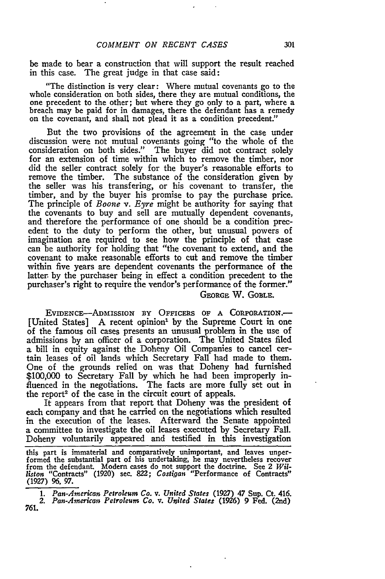be made to bear a construction that will support the result reached in this case. The great judge in that case said:

"The distinction is very clear: Where mutual covenants go to the whole consideration on both sides, there they are mutual conditions, the one precedent to the other; but where they go only to a part, where a breach may be paid for in damages, there the defendant has a remedy on the covenant, and shall not plead it as a condition precedent."

But the two provisions of the agreement in the case under discussion were not mutual covenants going "to the whole of the consideration on both sides." The buyer did not contract solely for an extension of time within which to remove the timber, nor did the seller contract solely for the buyer's reasonable efforts to remove the timber. The substance of the consideration given by the seller was his transfering, or his covenant to transfer, the timber, and by the buyer his promise to pay the purchase price. The principle of *Boone v. Eyre* might be authority for saying that the covenants to buy and sell are mutually dependent covenants, and therefore the performance of one should be a condition precedent to the duty to perform the other, but unusual powers of imagination are required to see how the principle of that case can be authority for holding that "the covenant to extend, and the covenant to make reasonable efforts to cut and remove the timber within five years are dependent covenants the performance of the latter. **by** the purchaser being in effect a condition precedent to the purchaser's right to require the vendor's performance of the former."

**GEORGE** W. **GOBLE.**

EVIDENCE-ADMISSION BY OFFICERS OF A CORPORATION.-[United States] A recent opinion<sup>1</sup> by the Supreme Court in one of the famous oil cases presents an unusual problem in the use of admissions **by** an officer of a corporation. The United States filed a bill in equity against the Doheny Oil Companies to cancel certain leases of oil lands which Secretary Fall had made to them. One of the grounds relied on was that Doheny had furnished \$100,000 to Secretary Fall **by** which he had been improperly influenced in the negotiations. The facts are more fully set out in the report<sup>2</sup> of the case in the circuit court of appeals.

It appears from that report that Doheny was the president of each company and that he carried on the negotiations which resulted in the execution of the leases. Afterward the Senate appointed a committee to investigate the oil leases executed **by** Secretary Fall. Doheny voluntarily appeared and testified in this investigation

this part is immaterial and comparatively unimportant, and leaves unperformed the substantial part of his undertaking, he **may** nevertheless recover from the defendant. Modem cases do not support the doctrine. See 2 *Williston* "Contracts" (1920) sec. 822; *Cost qan* "Performance of Contracts" **(1927) 96, 97.**

*1. Pan-American Petroleum Co. v. United States* (1927) 47 Sup. **Ct. 416.**

*<sup>2.</sup> Pan-American Petroleum Co. v. United States* **(1926) 9 Fed. (2nd)**761.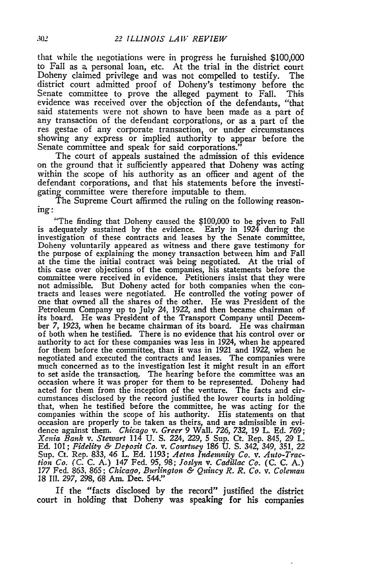that while the negotiations **were** in progress **he** furnished **\$100,000** to Fall as a, personal loan, etc. At the trial in the district court Doheny claimed privilege and was not compelled to testify. The district court admitted proof of Doheny's testimony before the Senate committee to prove the alleged payment to Fall. This evidence was received over the objection of the defendants, "that said statements were not shown to have been made as a part of any transaction of the defendant corporations, or as a part of the res gestae of any corporate transaction, or under circumstances showing any express or implied authority to appear before the Senate committee and speak for said corporations."

The court of appeals sustained the admission of this evidence on the ground that it sufficiently appeared that Doheny was acting within the scope of his authority as an officer and agent of the defendant corporations, and that his statements before the investigating committee were therefore imputable to them.

The Supreme Court affirmed the ruling on the following reasoning:

"The finding that Doheny caused the **\$100,000** to be given to Fall is adequately sustained **by** the evidence. Early in 1924 during the investigation of these contracts and leases **by** the Senate committee, Doheny voluntarily appeared as witness and there gave testimony for the purpose of explaining the money transaction between him and Fall at the time the initial contract was being negotiated. At the trial of this case over objections of the companies, his statements before the committee were received in evidence. Petitioners insist that they were not admissible. But Doheny acted for both companies when the contracts and leases were negotiated. He controlled the voting power of one that owned all the shares of the other. He was President of the Petroleum Company up to July 24, **1922,** and then became chairman of its board. He was President of the Transport Company until December **7, 1923,** when he became chairman of its board. He was chairman of both when he testified. There is no evidence that his control over or authority to act for these companies was less in 1924, when he appeared for them before the committee, than it was in **1921** and **1922,** when he negotiated and executed the contracts and leases. The companies were much concerned as to the investigation lest it might result in an effort to set aside the transaction. The hearing before the committee was an occasion where it was proper for them to be represented. Doheny had acted for them from the inception of the venture. The facts and circumstances disclosed **by** the record justified the lower courts in holding that, when he testified before the committee, he was acting for the companies within the scope of his authority. His statements on that occasion are properly to be taken as theirs, and are admissible in evidence against them. *Chicago v. Greer* **9** Wall. *726, 732, 19* L. **Ed. 769; Xenia** *Bank v. Stewart* 114 **U. S.** 224, *229,* **5** Sup. Ct. Rep. 845, **29** L. **Ed. 101;** *Fidelity & Deposit Co. v. Courtney* **186 U. S.** 342, 349, **351,** 22 Sup. Ct. Rep. **833,** 46 L. **Ed. 1193;** *Aetna Indemnity Co. v. Auto-Traction Co.* **(C. C. A.)** 147 Fed. **95, 98;** *Joslyn v. Cadillac Co.* **(C. C. A.)** *177* Fed. **863, 865;** *Chicago, Burlington & Quincy R. R. Co. v. Coleman* **18 Ill.** *297,* **298, 68** Am. Dec. **544."**

If the "facts disclosed **by** the record" justified the district court in holding that Doheny was speaking for his companies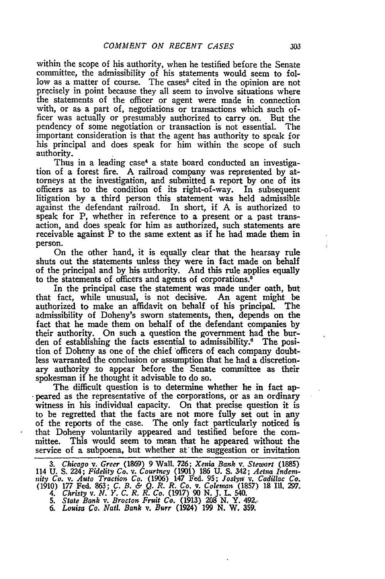within the scope of his authority, when he testified before the Senate committee, the admissibility of his statements would seem to follow as a matter of course. The cases<sup>3</sup> cited in the opinion are not precisely in point because they all seem to involve situations where the statements of the officer or agent were made in connection with, or as a part of, negotiations or transactions which such officer was actually or presumably authorized to carry on. But the pendency of some negotiation or transaction is not essential. The important consideration is that the agent has authority to speak for his principal and does speak for him within the scope of such authority.

Thus in a leading case<sup>4</sup> a state board conducted an investigation of a forest fire. A railroad company was represented **by** attorneys at the investigation, and submitted a report **by** one of its officers as to the condition of its right-of-way. In subsequent litigation **by** a third person this statement was held admissible against the defendant railroad. In short, if **A** is authorized to speak for **P,** whether in reference to a present or a past transaction, and does speak for him as authorized, such statements are receivable against P to the same extent as if he **had** made them in person.

On the other hand, it is equally clear that the hearsay rule shuts out the statements unless they were in fact made on behalf of the principal and **by** his authority. And this rule applies equally to the statements of officers and agents of corporations.<sup>5</sup>

In the principal case the statement was made under oath, but that fact, while unusual, is not decisive. An agent might **be** authorized to make an affidavit on behalf of his principal. The admissibility of Doheny's sworn statements, then, depends on the fact that he made them on behalf of the defendant companies **by** their authority. On such a question the government had the burden of establishing the facts essential to admissibility.6 The position of Doheny as one of the chief 'officers of each company doubtless warranted the conclusion or assumption that he had a discretionary authority to appear before the Senate committee as their spokesman if he thought it advisable to do so.

The difficult question is to determine whether he in fact ap peared as the representative of the corporations, or as an ordinary witness in his individual capacity. On that precise question it is to be regretted that the facts are not more fully set out in any of the reports of the case. The only fact particularly noticed is that Doheny voluntarily appeared and testified before the committee. This would seem to mean that he appeared without the service of a subpoena, but whether at'the suggestion or invitation

*4. Christy v. N. Y. C. R. R. Co.* **(1917) 90 N.** *J.* **L** 540. *5. State Bank v. Brocton Fruit Co.* (1913) **208 N.** Y. 492..

*6. Louisa Co. Nati. Bank v. Burr* (1924) **199 N.** W. **359.**

÷

*<sup>3.</sup> Chicago v. Greer* (1869) **9** Wall. **726;** *Xenia Bank v. Stewart* (1885) 114 **U. S.** 224; *Fidelity Co. v. Courtney* (1901) **186 U. S.** 342; *Aetna Inden-inity Co. v. Auto Traction Co.* (1906) 147 Fed. **95;** *Joslyno v. Cadillac Co.* **(1910) 177** Fed. **863;** *C. B. & Q. R. R. Co.* v. *Coleman* **(1857) 18 Ill. 297.**